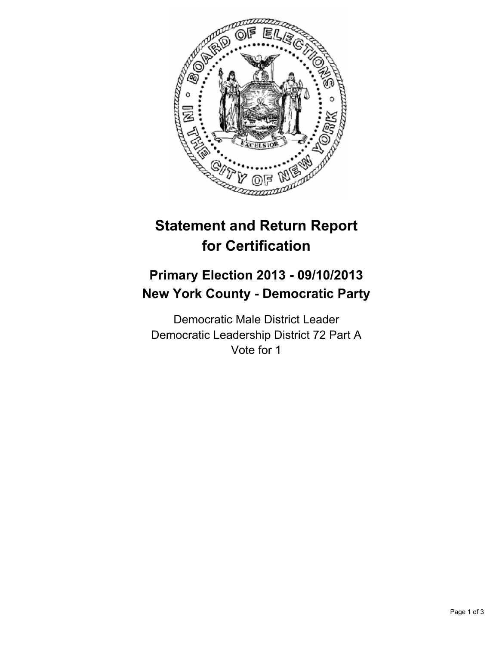

# **Statement and Return Report for Certification**

## **Primary Election 2013 - 09/10/2013 New York County - Democratic Party**

Democratic Male District Leader Democratic Leadership District 72 Part A Vote for 1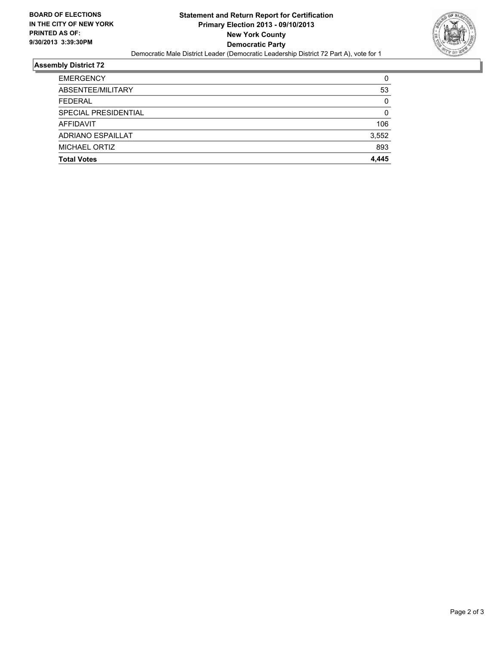

### **Assembly District 72**

| <b>Total Votes</b>   | 4.445 |
|----------------------|-------|
| <b>MICHAEL ORTIZ</b> | 893   |
| ADRIANO ESPAILLAT    | 3,552 |
| <b>AFFIDAVIT</b>     | 106   |
| SPECIAL PRESIDENTIAL | 0     |
| <b>FEDERAL</b>       | 0     |
| ABSENTEE/MILITARY    | 53    |
| <b>EMERGENCY</b>     | 0     |
|                      |       |